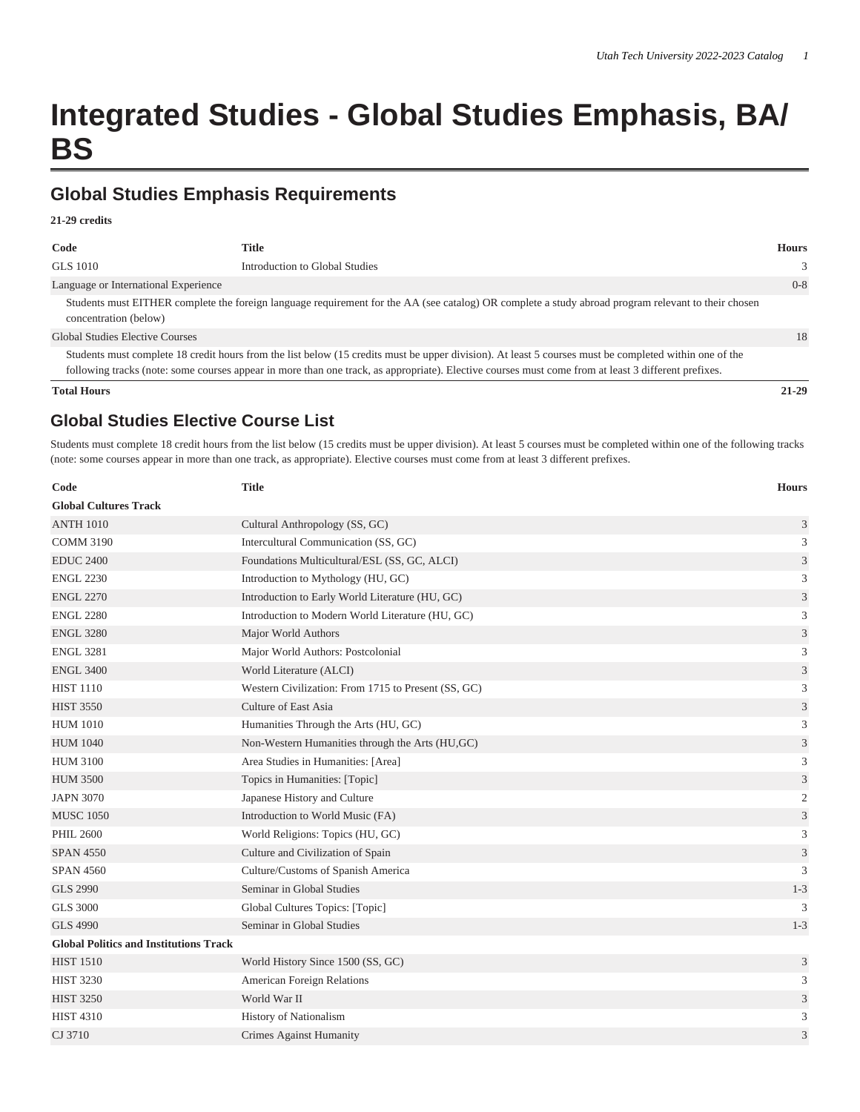# **Integrated Studies - Global Studies Emphasis, BA/ BS**

## **Global Studies Emphasis Requirements**

#### **21-29 credits**

| Code                                   | <b>Title</b>                                                                                                                                                                                                                                                                                                  | <b>Hours</b> |
|----------------------------------------|---------------------------------------------------------------------------------------------------------------------------------------------------------------------------------------------------------------------------------------------------------------------------------------------------------------|--------------|
| GLS 1010                               | Introduction to Global Studies                                                                                                                                                                                                                                                                                | 3            |
| Language or International Experience   |                                                                                                                                                                                                                                                                                                               | $0 - 8$      |
| concentration (below)                  | Students must EITHER complete the foreign language requirement for the AA (see catalog) OR complete a study abroad program relevant to their chosen                                                                                                                                                           |              |
| <b>Global Studies Elective Courses</b> |                                                                                                                                                                                                                                                                                                               | 18           |
|                                        | Students must complete 18 credit hours from the list below (15 credits must be upper division). At least 5 courses must be completed within one of the<br>following tracks (note: some courses appear in more than one track, as appropriate). Elective courses must come from at least 3 different prefixes. |              |
| <b>Total Hours</b>                     |                                                                                                                                                                                                                                                                                                               | $21 - 29$    |

### **Global Studies Elective Course List**

Students must complete 18 credit hours from the list below (15 credits must be upper division). At least 5 courses must be completed within one of the following tracks (note: some courses appear in more than one track, as appropriate). Elective courses must come from at least 3 different prefixes.

| Code                                          | <b>Title</b>                                        | <b>Hours</b>                |
|-----------------------------------------------|-----------------------------------------------------|-----------------------------|
| <b>Global Cultures Track</b>                  |                                                     |                             |
| <b>ANTH 1010</b>                              | Cultural Anthropology (SS, GC)                      | 3                           |
| <b>COMM 3190</b>                              | Intercultural Communication (SS, GC)                | 3                           |
| <b>EDUC 2400</b>                              | Foundations Multicultural/ESL (SS, GC, ALCI)        | $\mathfrak{Z}$              |
| <b>ENGL 2230</b>                              | Introduction to Mythology (HU, GC)                  | 3                           |
| <b>ENGL 2270</b>                              | Introduction to Early World Literature (HU, GC)     | $\mathfrak{Z}$              |
| <b>ENGL 2280</b>                              | Introduction to Modern World Literature (HU, GC)    | 3                           |
| <b>ENGL 3280</b>                              | Major World Authors                                 | $\mathfrak{Z}$              |
| <b>ENGL 3281</b>                              | Major World Authors: Postcolonial                   | $\mathfrak{Z}$              |
| <b>ENGL 3400</b>                              | World Literature (ALCI)                             | $\mathfrak{Z}$              |
| <b>HIST 1110</b>                              | Western Civilization: From 1715 to Present (SS, GC) | 3                           |
| <b>HIST 3550</b>                              | Culture of East Asia                                | $\ensuremath{\mathfrak{Z}}$ |
| <b>HUM 1010</b>                               | Humanities Through the Arts (HU, GC)                | $\mathfrak{Z}$              |
| <b>HUM 1040</b>                               | Non-Western Humanities through the Arts (HU,GC)     | $\mathfrak{Z}$              |
| <b>HUM 3100</b>                               | Area Studies in Humanities: [Area]                  | 3                           |
| <b>HUM 3500</b>                               | Topics in Humanities: [Topic]                       | 3                           |
| <b>JAPN 3070</b>                              | Japanese History and Culture                        | $\mathfrak{2}$              |
| <b>MUSC 1050</b>                              | Introduction to World Music (FA)                    | $\mathfrak{Z}$              |
| <b>PHIL 2600</b>                              | World Religions: Topics (HU, GC)                    | $\mathfrak{Z}$              |
| <b>SPAN 4550</b>                              | Culture and Civilization of Spain                   | $\mathfrak{Z}$              |
| <b>SPAN 4560</b>                              | Culture/Customs of Spanish America                  | 3                           |
| <b>GLS 2990</b>                               | Seminar in Global Studies                           | $1 - 3$                     |
| <b>GLS 3000</b>                               | Global Cultures Topics: [Topic]                     | 3                           |
| <b>GLS 4990</b>                               | Seminar in Global Studies                           | $1 - 3$                     |
| <b>Global Politics and Institutions Track</b> |                                                     |                             |
| <b>HIST 1510</b>                              | World History Since 1500 (SS, GC)                   | $\mathfrak{Z}$              |
| <b>HIST 3230</b>                              | American Foreign Relations                          | 3                           |
| <b>HIST 3250</b>                              | World War II                                        | $\mathfrak{Z}$              |
| <b>HIST 4310</b>                              | History of Nationalism                              | 3                           |
| CJ 3710                                       | <b>Crimes Against Humanity</b>                      | 3                           |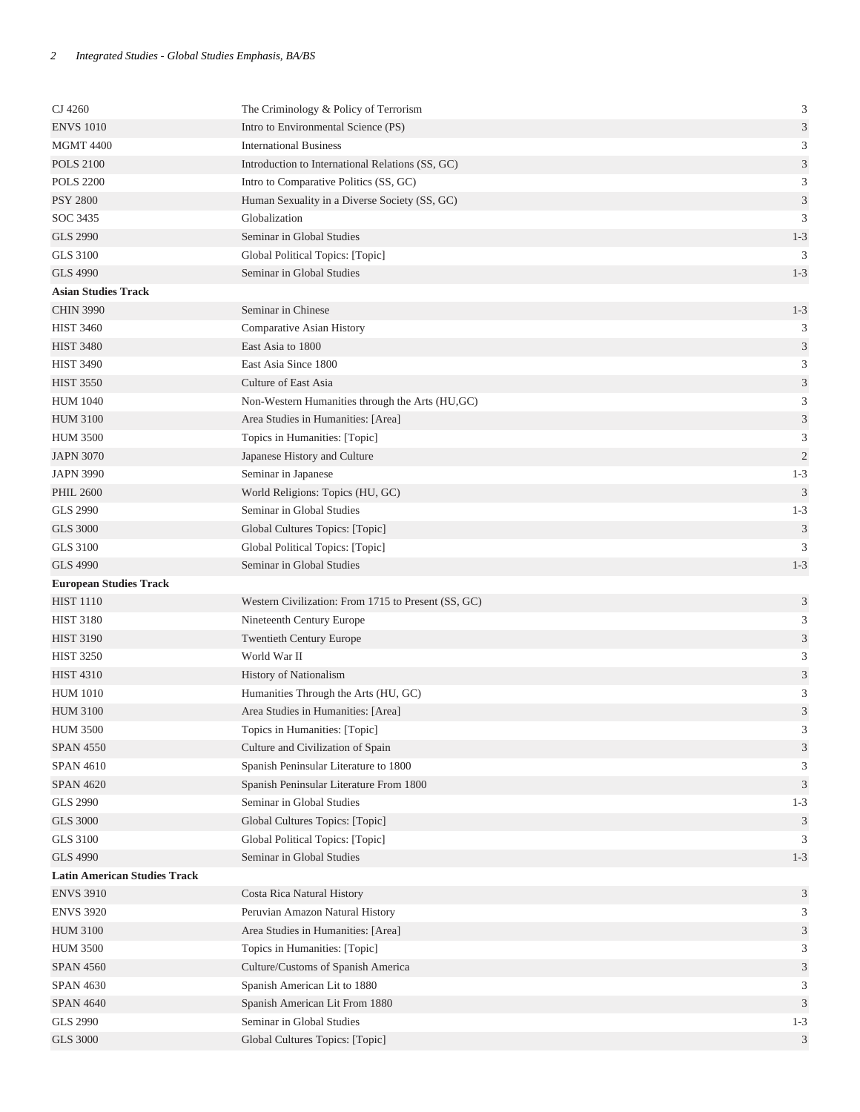| CJ 4260                             | The Criminology & Policy of Terrorism               | $\ensuremath{\mathfrak{Z}}$ |
|-------------------------------------|-----------------------------------------------------|-----------------------------|
| <b>ENVS 1010</b>                    | Intro to Environmental Science (PS)                 | 3                           |
| <b>MGMT 4400</b>                    | <b>International Business</b>                       | 3                           |
| <b>POLS 2100</b>                    | Introduction to International Relations (SS, GC)    | $\ensuremath{\mathfrak{Z}}$ |
| <b>POLS 2200</b>                    | Intro to Comparative Politics (SS, GC)              | $\mathfrak{Z}$              |
| <b>PSY 2800</b>                     | Human Sexuality in a Diverse Society (SS, GC)       | $\ensuremath{\mathfrak{Z}}$ |
| SOC 3435                            | Globalization                                       | 3                           |
| <b>GLS 2990</b>                     | Seminar in Global Studies                           | $1 - 3$                     |
| <b>GLS 3100</b>                     | Global Political Topics: [Topic]                    | 3                           |
| <b>GLS 4990</b>                     | Seminar in Global Studies                           | $1 - 3$                     |
| <b>Asian Studies Track</b>          |                                                     |                             |
| <b>CHIN 3990</b>                    | Seminar in Chinese                                  | $1 - 3$                     |
| <b>HIST 3460</b>                    | Comparative Asian History                           | 3                           |
| <b>HIST 3480</b>                    | East Asia to 1800                                   | $\ensuremath{\mathfrak{Z}}$ |
| <b>HIST 3490</b>                    | East Asia Since 1800                                | 3                           |
| <b>HIST 3550</b>                    | Culture of East Asia                                | $\ensuremath{\mathfrak{Z}}$ |
| <b>HUM 1040</b>                     | Non-Western Humanities through the Arts (HU,GC)     | $\mathfrak{Z}$              |
| <b>HUM 3100</b>                     | Area Studies in Humanities: [Area]                  | $\sqrt{3}$                  |
| <b>HUM 3500</b>                     | Topics in Humanities: [Topic]                       | $\mathfrak{Z}$              |
| <b>JAPN 3070</b>                    | Japanese History and Culture                        | $\overline{2}$              |
| <b>JAPN 3990</b>                    | Seminar in Japanese                                 | $1 - 3$                     |
| <b>PHIL 2600</b>                    | World Religions: Topics (HU, GC)                    | $\mathfrak{Z}$              |
| <b>GLS 2990</b>                     | Seminar in Global Studies                           | $1 - 3$                     |
| <b>GLS 3000</b>                     | Global Cultures Topics: [Topic]                     | $\ensuremath{\mathfrak{Z}}$ |
| <b>GLS 3100</b>                     | Global Political Topics: [Topic]                    | 3                           |
| <b>GLS 4990</b>                     | Seminar in Global Studies                           | $1 - 3$                     |
| <b>European Studies Track</b>       |                                                     |                             |
| <b>HIST 1110</b>                    | Western Civilization: From 1715 to Present (SS, GC) | $\mathfrak{Z}$              |
| <b>HIST 3180</b>                    | Nineteenth Century Europe                           | $\mathfrak{Z}$              |
| <b>HIST 3190</b>                    | <b>Twentieth Century Europe</b>                     | 3                           |
| <b>HIST 3250</b>                    | World War II                                        | 3                           |
| <b>HIST 4310</b>                    | <b>History of Nationalism</b>                       | 3                           |
| <b>HUM 1010</b>                     | Humanities Through the Arts (HU, GC)                | 3                           |
| <b>HUM 3100</b>                     | Area Studies in Humanities: [Area]                  | 3                           |
| <b>HUM 3500</b>                     | Topics in Humanities: [Topic]                       | 3                           |
| <b>SPAN 4550</b>                    | Culture and Civilization of Spain                   | $\ensuremath{\mathsf{3}}$   |
| <b>SPAN 4610</b>                    | Spanish Peninsular Literature to 1800               | 3                           |
| <b>SPAN 4620</b>                    | Spanish Peninsular Literature From 1800             | $\mathfrak{Z}$              |
| <b>GLS 2990</b>                     | Seminar in Global Studies                           | $1 - 3$                     |
| <b>GLS 3000</b>                     | Global Cultures Topics: [Topic]                     | 3                           |
| <b>GLS 3100</b>                     | Global Political Topics: [Topic]                    | 3                           |
| <b>GLS 4990</b>                     | Seminar in Global Studies                           | $1 - 3$                     |
| <b>Latin American Studies Track</b> |                                                     |                             |
| <b>ENVS 3910</b>                    | Costa Rica Natural History                          | $\mathfrak{Z}$              |
| <b>ENVS 3920</b>                    | Peruvian Amazon Natural History                     | 3                           |
| <b>HUM 3100</b>                     | Area Studies in Humanities: [Area]                  | $\ensuremath{\mathfrak{Z}}$ |
| <b>HUM 3500</b>                     | Topics in Humanities: [Topic]                       | 3                           |
| <b>SPAN 4560</b>                    | Culture/Customs of Spanish America                  | 3                           |
| <b>SPAN 4630</b>                    | Spanish American Lit to 1880                        | 3                           |
| <b>SPAN 4640</b>                    | Spanish American Lit From 1880                      | $\mathfrak{Z}$              |
| <b>GLS 2990</b>                     | Seminar in Global Studies                           | $1 - 3$                     |
| <b>GLS 3000</b>                     | Global Cultures Topics: [Topic]                     | 3                           |